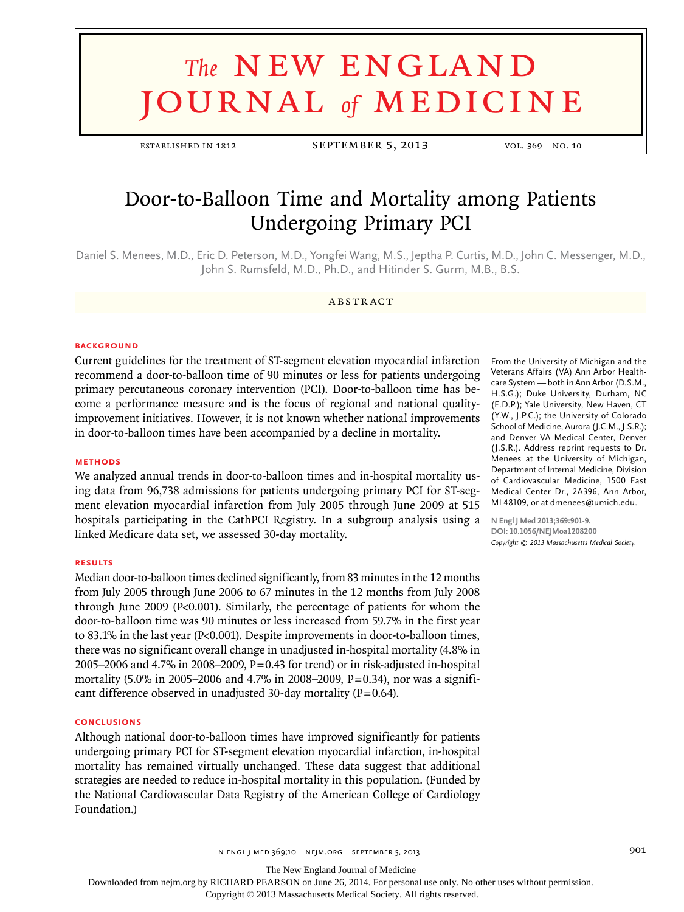# **The NEW ENGLAND** journal *of* medicine

established in 1812 SEPTEMBER 5, 2013 vol. 369 No. 10

# Door-to-Balloon Time and Mortality among Patients Undergoing Primary PCI

Daniel S. Menees, M.D., Eric D. Peterson, M.D., Yongfei Wang, M.S., Jeptha P. Curtis, M.D., John C. Messenger, M.D., John S. Rumsfeld, M.D., Ph.D., and Hitinder S. Gurm, M.B., B.S.

#### A BSTR ACT

#### **BACKGROUND**

Current guidelines for the treatment of ST-segment elevation myocardial infarction recommend a door-to-balloon time of 90 minutes or less for patients undergoing primary percutaneous coronary intervention (PCI). Door-to-balloon time has become a performance measure and is the focus of regional and national qualityimprovement initiatives. However, it is not known whether national improvements in door-to-balloon times have been accompanied by a decline in mortality.

#### **Methods**

We analyzed annual trends in door-to-balloon times and in-hospital mortality using data from 96,738 admissions for patients undergoing primary PCI for ST-segment elevation myocardial infarction from July 2005 through June 2009 at 515 hospitals participating in the CathPCI Registry. In a subgroup analysis using a linked Medicare data set, we assessed 30-day mortality.

#### **Results**

Median door-to-balloon times declined significantly, from 83 minutes in the 12 months from July 2005 through June 2006 to 67 minutes in the 12 months from July 2008 through June 2009 (P<0.001). Similarly, the percentage of patients for whom the door-to-balloon time was 90 minutes or less increased from 59.7% in the first year to 83.1% in the last year (P<0.001). Despite improvements in door-to-balloon times, there was no significant overall change in unadjusted in-hospital mortality (4.8% in 2005–2006 and 4.7% in 2008–2009,  $P = 0.43$  for trend) or in risk-adjusted in-hospital mortality (5.0% in 2005–2006 and 4.7% in 2008–2009, P=0.34), nor was a significant difference observed in unadjusted 30-day mortality ( $P=0.64$ ).

## **Conclusions**

Although national door-to-balloon times have improved significantly for patients undergoing primary PCI for ST-segment elevation myocardial infarction, in-hospital mortality has remained virtually unchanged. These data suggest that additional strategies are needed to reduce in-hospital mortality in this population. (Funded by the National Cardiovascular Data Registry of the American College of Cardiology Foundation.)

From the University of Michigan and the Veterans Affairs (VA) Ann Arbor Healthcare System — both in Ann Arbor (D.S.M., H.S.G.); Duke University, Durham, NC (E.D.P.); Yale University, New Haven, CT (Y.W., J.P.C.); the University of Colorado School of Medicine, Aurora (J.C.M., J.S.R.); and Denver VA Medical Center, Denver (J.S.R.). Address reprint requests to Dr. Menees at the University of Michigan, Department of Internal Medicine, Division of Cardiovascular Medicine, 1500 East Medical Center Dr., 2A396, Ann Arbor, MI 48109, or at dmenees@umich.edu.

**N Engl J Med 2013;369:901-9. DOI: 10.1056/NEJMoa1208200** *Copyright © 2013 Massachusetts Medical Society.*

n engl j med 369;10 nejm.org september 5, 2013 901

The New England Journal of Medicine

Downloaded from nejm.org by RICHARD PEARSON on June 26, 2014. For personal use only. No other uses without permission.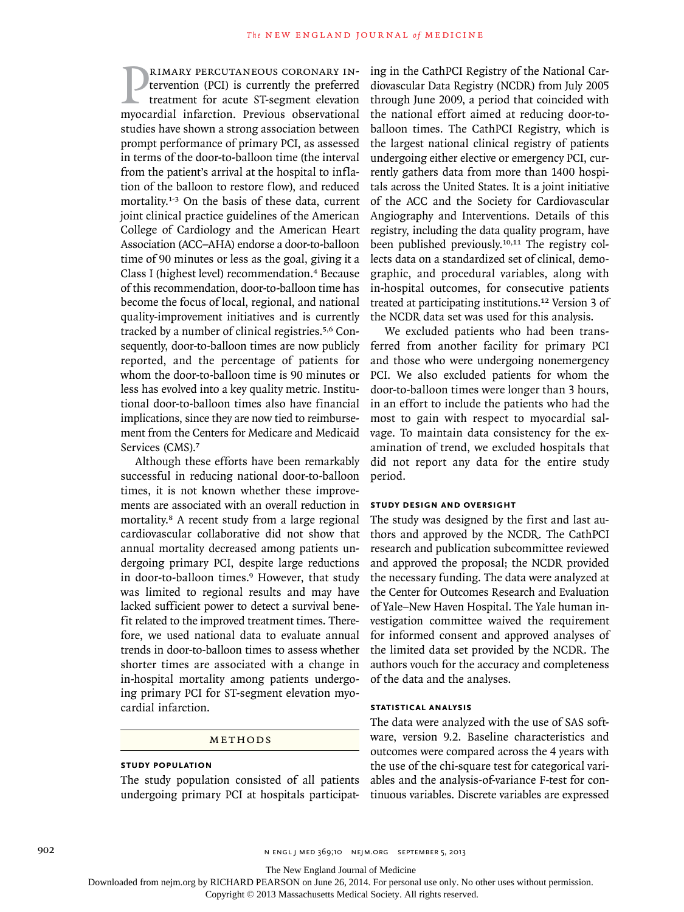**PRIMARY PERCUTANEOUS CORONARY IN-**<br>tervention (PCI) is currently the preferred<br>treatment for acute ST-segment elevation<br>myocardial infarction. Previous observational rimary percutaneous coronary intervention (PCI) is currently the preferred treatment for acute ST-segment elevation studies have shown a strong association between prompt performance of primary PCI, as assessed in terms of the door-to-balloon time (the interval from the patient's arrival at the hospital to inflation of the balloon to restore flow), and reduced mortality.1-3 On the basis of these data, current joint clinical practice guidelines of the American College of Cardiology and the American Heart Association (ACC–AHA) endorse a door-to-balloon time of 90 minutes or less as the goal, giving it a Class I (highest level) recommendation.4 Because of this recommendation, door-to-balloon time has become the focus of local, regional, and national quality-improvement initiatives and is currently tracked by a number of clinical registries.5,6 Consequently, door-to-balloon times are now publicly reported, and the percentage of patients for whom the door-to-balloon time is 90 minutes or less has evolved into a key quality metric. Institutional door-to-balloon times also have financial implications, since they are now tied to reimbursement from the Centers for Medicare and Medicaid Services (CMS).<sup>7</sup>

Although these efforts have been remarkably successful in reducing national door-to-balloon times, it is not known whether these improvements are associated with an overall reduction in mortality.8 A recent study from a large regional cardiovascular collaborative did not show that annual mortality decreased among patients undergoing primary PCI, despite large reductions in door-to-balloon times.<sup>9</sup> However, that study was limited to regional results and may have lacked sufficient power to detect a survival benefit related to the improved treatment times. Therefore, we used national data to evaluate annual trends in door-to-balloon times to assess whether shorter times are associated with a change in in-hospital mortality among patients undergoing primary PCI for ST-segment elevation myocardial infarction.

# METHODS

# **Study Population**

The study population consisted of all patients undergoing primary PCI at hospitals participating in the CathPCI Registry of the National Cardiovascular Data Registry (NCDR) from July 2005 through June 2009, a period that coincided with the national effort aimed at reducing door-toballoon times. The CathPCI Registry, which is the largest national clinical registry of patients undergoing either elective or emergency PCI, currently gathers data from more than 1400 hospitals across the United States. It is a joint initiative of the ACC and the Society for Cardiovascular Angiography and Interventions. Details of this registry, including the data quality program, have been published previously.10,11 The registry collects data on a standardized set of clinical, demographic, and procedural variables, along with in-hospital outcomes, for consecutive patients treated at participating institutions.12 Version 3 of the NCDR data set was used for this analysis.

We excluded patients who had been transferred from another facility for primary PCI and those who were undergoing nonemergency PCI. We also excluded patients for whom the door-to-balloon times were longer than 3 hours, in an effort to include the patients who had the most to gain with respect to myocardial salvage. To maintain data consistency for the examination of trend, we excluded hospitals that did not report any data for the entire study period.

#### **Study Design and Oversight**

The study was designed by the first and last authors and approved by the NCDR. The CathPCI research and publication subcommittee reviewed and approved the proposal; the NCDR provided the necessary funding. The data were analyzed at the Center for Outcomes Research and Evaluation of Yale–New Haven Hospital. The Yale human investigation committee waived the requirement for informed consent and approved analyses of the limited data set provided by the NCDR. The authors vouch for the accuracy and completeness of the data and the analyses.

#### **Statistical Analysis**

The data were analyzed with the use of SAS software, version 9.2. Baseline characteristics and outcomes were compared across the 4 years with the use of the chi-square test for categorical variables and the analysis-of-variance F-test for continuous variables. Discrete variables are expressed

902 n engl j med 369;10 nejm.org september 5, 2013

The New England Journal of Medicine

Downloaded from nejm.org by RICHARD PEARSON on June 26, 2014. For personal use only. No other uses without permission.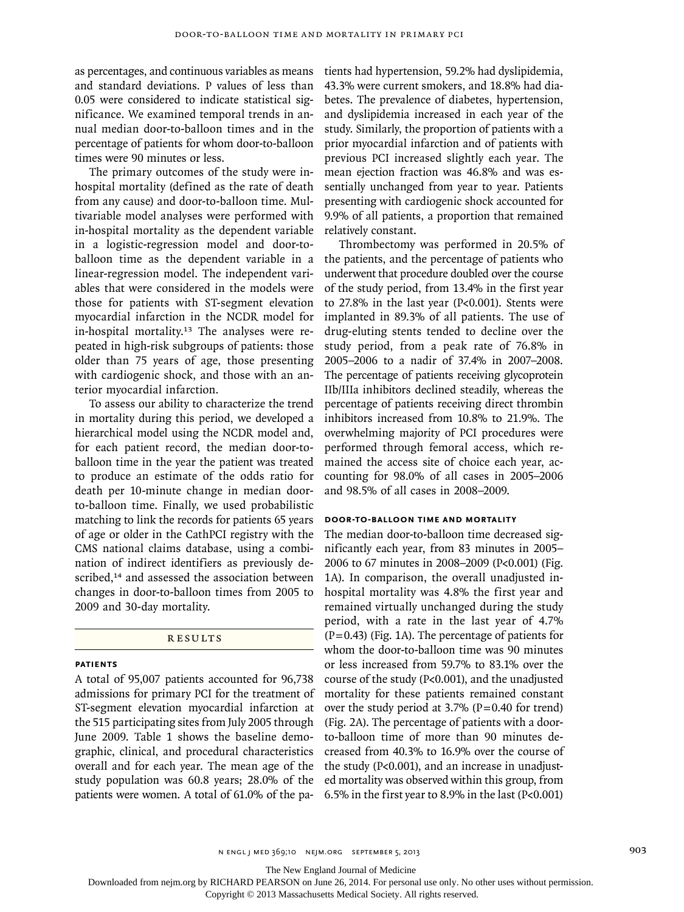as percentages, and continuous variables as means and standard deviations. P values of less than 0.05 were considered to indicate statistical significance. We examined temporal trends in annual median door-to-balloon times and in the percentage of patients for whom door-to-balloon times were 90 minutes or less.

The primary outcomes of the study were inhospital mortality (defined as the rate of death from any cause) and door-to-balloon time. Multivariable model analyses were performed with in-hospital mortality as the dependent variable in a logistic-regression model and door-toballoon time as the dependent variable in a linear-regression model. The independent variables that were considered in the models were those for patients with ST-segment elevation myocardial infarction in the NCDR model for in-hospital mortality.13 The analyses were repeated in high-risk subgroups of patients: those older than 75 years of age, those presenting with cardiogenic shock, and those with an anterior myocardial infarction.

To assess our ability to characterize the trend in mortality during this period, we developed a hierarchical model using the NCDR model and, for each patient record, the median door-toballoon time in the year the patient was treated to produce an estimate of the odds ratio for death per 10-minute change in median doorto-balloon time. Finally, we used probabilistic matching to link the records for patients 65 years of age or older in the CathPCI registry with the CMS national claims database, using a combination of indirect identifiers as previously described,<sup>14</sup> and assessed the association between changes in door-to-balloon times from 2005 to 2009 and 30-day mortality.

#### **RESULTS**

## **Patients**

A total of 95,007 patients accounted for 96,738 admissions for primary PCI for the treatment of ST-segment elevation myocardial infarction at the 515 participating sites from July 2005 through June 2009. Table 1 shows the baseline demographic, clinical, and procedural characteristics overall and for each year. The mean age of the study population was 60.8 years; 28.0% of the patients were women. A total of 61.0% of the pa-6.5% in the first year to 8.9% in the last (P<0.001)

tients had hypertension, 59.2% had dyslipidemia, 43.3% were current smokers, and 18.8% had diabetes. The prevalence of diabetes, hypertension, and dyslipidemia increased in each year of the study. Similarly, the proportion of patients with a prior myocardial infarction and of patients with previous PCI increased slightly each year. The mean ejection fraction was 46.8% and was essentially unchanged from year to year. Patients presenting with cardiogenic shock accounted for 9.9% of all patients, a proportion that remained relatively constant.

Thrombectomy was performed in 20.5% of the patients, and the percentage of patients who underwent that procedure doubled over the course of the study period, from 13.4% in the first year to 27.8% in the last year (P<0.001). Stents were implanted in 89.3% of all patients. The use of drug-eluting stents tended to decline over the study period, from a peak rate of 76.8% in 2005–2006 to a nadir of 37.4% in 2007–2008. The percentage of patients receiving glycoprotein IIb/IIIa inhibitors declined steadily, whereas the percentage of patients receiving direct thrombin inhibitors increased from 10.8% to 21.9%. The overwhelming majority of PCI procedures were performed through femoral access, which remained the access site of choice each year, accounting for 98.0% of all cases in 2005–2006 and 98.5% of all cases in 2008–2009.

#### **Door-to-Balloon Time and Mortality**

The median door-to-balloon time decreased significantly each year, from 83 minutes in 2005– 2006 to 67 minutes in 2008–2009 (P<0.001) (Fig. 1A). In comparison, the overall unadjusted inhospital mortality was 4.8% the first year and remained virtually unchanged during the study period, with a rate in the last year of 4.7%  $(P=0.43)$  (Fig. 1A). The percentage of patients for whom the door-to-balloon time was 90 minutes or less increased from 59.7% to 83.1% over the course of the study (P<0.001), and the unadjusted mortality for these patients remained constant over the study period at  $3.7\%$  (P=0.40 for trend) (Fig. 2A). The percentage of patients with a doorto-balloon time of more than 90 minutes decreased from 40.3% to 16.9% over the course of the study (P<0.001), and an increase in unadjusted mortality was observed within this group, from

n engl j med 369;10 nejm.org september 5, 2013 903

The New England Journal of Medicine

Downloaded from nejm.org by RICHARD PEARSON on June 26, 2014. For personal use only. No other uses without permission.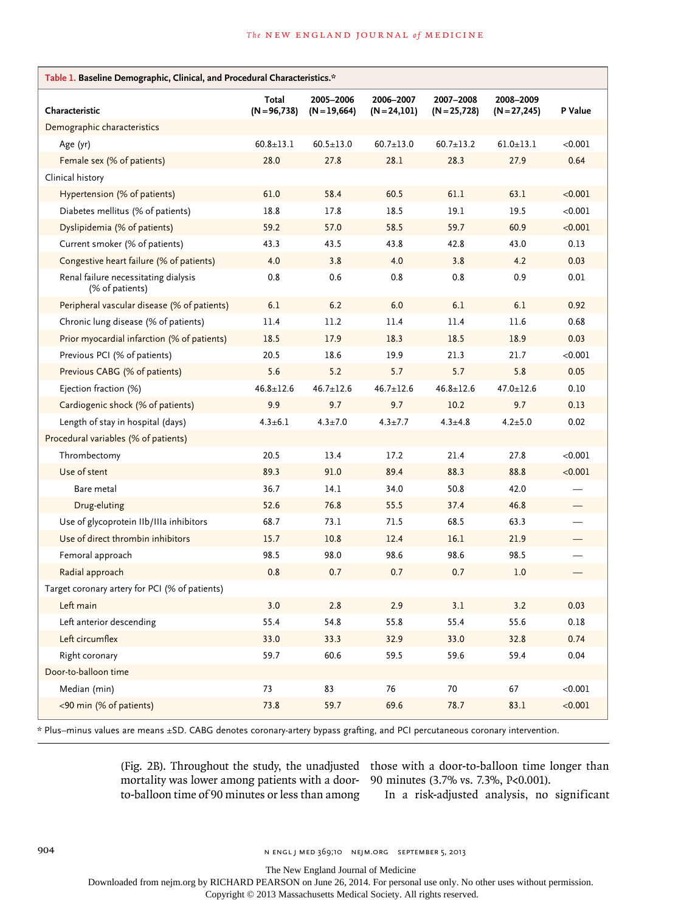| Table 1. Baseline Demographic, Clinical, and Procedural Characteristics.* |                          |                             |                              |                              |                           |         |
|---------------------------------------------------------------------------|--------------------------|-----------------------------|------------------------------|------------------------------|---------------------------|---------|
| Characteristic                                                            | Total<br>$(N = 96, 738)$ | 2005-2006<br>$(N = 19,664)$ | 2006-2007<br>$(N = 24, 101)$ | 2007-2008<br>$(N = 25, 728)$ | 2008-2009<br>$(N=27,245)$ | P Value |
| Demographic characteristics                                               |                          |                             |                              |                              |                           |         |
| Age (yr)                                                                  | $60.8 \pm 13.1$          | $60.5 \pm 13.0$             | $60.7 \pm 13.0$              | $60.7 \pm 13.2$              | $61.0 \pm 13.1$           | < 0.001 |
| Female sex (% of patients)                                                | 28.0                     | 27.8                        | 28.1                         | 28.3                         | 27.9                      | 0.64    |
| Clinical history                                                          |                          |                             |                              |                              |                           |         |
| Hypertension (% of patients)                                              | 61.0                     | 58.4                        | 60.5                         | 61.1                         | 63.1                      | < 0.001 |
| Diabetes mellitus (% of patients)                                         | 18.8                     | 17.8                        | 18.5                         | 19.1                         | 19.5                      | < 0.001 |
| Dyslipidemia (% of patients)                                              | 59.2                     | 57.0                        | 58.5                         | 59.7                         | 60.9                      | < 0.001 |
| Current smoker (% of patients)                                            | 43.3                     | 43.5                        | 43.8                         | 42.8                         | 43.0                      | 0.13    |
| Congestive heart failure (% of patients)                                  | 4.0                      | 3.8                         | 4.0                          | 3.8                          | 4.2                       | 0.03    |
| Renal failure necessitating dialysis<br>(% of patients)                   | 0.8                      | 0.6                         | 0.8                          | 0.8                          | 0.9                       | 0.01    |
| Peripheral vascular disease (% of patients)                               | 6.1                      | 6.2                         | 6.0                          | 6.1                          | 6.1                       | 0.92    |
| Chronic lung disease (% of patients)                                      | 11.4                     | 11.2                        | 11.4                         | 11.4                         | 11.6                      | 0.68    |
| Prior myocardial infarction (% of patients)                               | 18.5                     | 17.9                        | 18.3                         | 18.5                         | 18.9                      | 0.03    |
| Previous PCI (% of patients)                                              | 20.5                     | 18.6                        | 19.9                         | 21.3                         | 21.7                      | < 0.001 |
| Previous CABG (% of patients)                                             | 5.6                      | 5.2                         | 5.7                          | 5.7                          | 5.8                       | 0.05    |
| Ejection fraction (%)                                                     | $46.8 \pm 12.6$          | $46.7 \pm 12.6$             | $46.7 \pm 12.6$              | $46.8 \pm 12.6$              | $47.0 \pm 12.6$           | 0.10    |
| Cardiogenic shock (% of patients)                                         | 9.9                      | 9.7                         | 9.7                          | 10.2                         | 9.7                       | 0.13    |
| Length of stay in hospital (days)                                         | $4.3 \pm 6.1$            | $4.3 \pm 7.0$               | $4.3 \pm 7.7$                | $4.3 + 4.8$                  | $4.2 + 5.0$               | 0.02    |
| Procedural variables (% of patients)                                      |                          |                             |                              |                              |                           |         |
| Thrombectomy                                                              | 20.5                     | 13.4                        | 17.2                         | 21.4                         | 27.8                      | < 0.001 |
| Use of stent                                                              | 89.3                     | 91.0                        | 89.4                         | 88.3                         | 88.8                      | < 0.001 |
| Bare metal                                                                | 36.7                     | 14.1                        | 34.0                         | 50.8                         | 42.0                      |         |
| Drug-eluting                                                              | 52.6                     | 76.8                        | 55.5                         | 37.4                         | 46.8                      |         |
| Use of glycoprotein IIb/IIIa inhibitors                                   | 68.7                     | 73.1                        | 71.5                         | 68.5                         | 63.3                      |         |
| Use of direct thrombin inhibitors                                         | 15.7                     | 10.8                        | 12.4                         | 16.1                         | 21.9                      |         |
| Femoral approach                                                          | 98.5                     | 98.0                        | 98.6                         | 98.6                         | 98.5                      |         |
| Radial approach                                                           | 0.8                      | 0.7                         | 0.7                          | 0.7                          | 1.0                       |         |
| Target coronary artery for PCI (% of patients)                            |                          |                             |                              |                              |                           |         |
| Left main                                                                 | 3.0                      | 2.8                         | 2.9                          | 3.1                          | 3.2                       | 0.03    |
| Left anterior descending                                                  | 55.4                     | 54.8                        | 55.8                         | 55.4                         | 55.6                      | 0.18    |
| Left circumflex                                                           | 33.0                     | 33.3                        | 32.9                         | 33.0                         | 32.8                      | 0.74    |
| Right coronary                                                            | 59.7                     | 60.6                        | 59.5                         | 59.6                         | 59.4                      | 0.04    |
| Door-to-balloon time                                                      |                          |                             |                              |                              |                           |         |
| Median (min)                                                              | 73                       | 83                          | 76                           | 70                           | 67                        | < 0.001 |
| <90 min (% of patients)                                                   | 73.8                     | 59.7                        | 69.6                         | 78.7                         | 83.1                      | < 0.001 |

\* Plus–minus values are means ±SD. CABG denotes coronary-artery bypass grafting, and PCI percutaneous coronary intervention.

mortality was lower among patients with a doorto-balloon time of 90 minutes or less than among

(Fig. 2B). Throughout the study, the unadjusted those with a door-to-balloon time longer than 90 minutes (3.7% vs. 7.3%, P<0.001).

In a risk-adjusted analysis, no significant

904 n engl j med 369;10 nejm.org september 5, 2013

The New England Journal of Medicine

Downloaded from nejm.org by RICHARD PEARSON on June 26, 2014. For personal use only. No other uses without permission.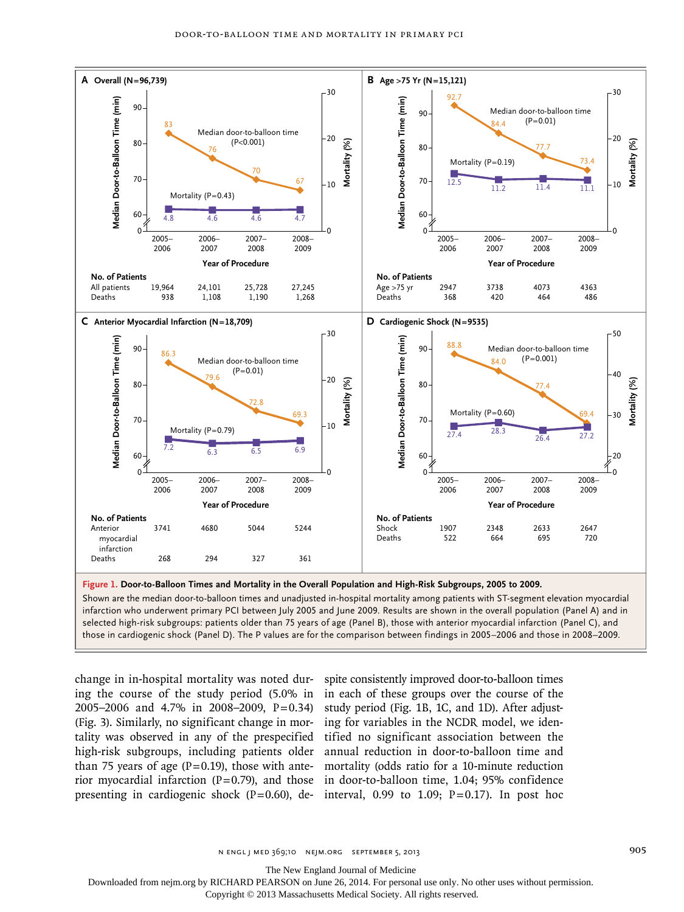

**Figure 1. Door-to-Balloon Times and Mortality in the Overall Population and High-Risk Subgroups, 2005 to 2009.**

Shown are the median door-to-balloon times and unadjusted in-hospital mortality among patients with ST-segment elevation myocardial infarction who underwent primary PCI between July 2005 and June 2009. Results are shown in the overall population (Panel A) and in selected high-risk subgroups: patients older than 75 years of age (Panel B), those with anterior myocardial infarction (Panel C), and those in cardiogenic shock (Panel D). The P values are for the comparison between findings in 2005–2006 and those in 2008–2009.

change in in-hospital mortality was noted during the course of the study period (5.0% in 2005–2006 and 4.7% in 2008–2009, P=0.34) (Fig. 3). Similarly, no significant change in mortality was observed in any of the prespecified high-risk subgroups, including patients older than 75 years of age  $(P=0.19)$ , those with anterior myocardial infarction  $(P=0.79)$ , and those presenting in cardiogenic shock (P=0.60), de-interval, 0.99 to 1.09; P=0.17). In post hoc

spite consistently improved door-to-balloon times in each of these groups over the course of the study period (Fig. 1B, 1C, and 1D). After adjusting for variables in the NCDR model, we identified no significant association between the annual reduction in door-to-balloon time and mortality (odds ratio for a 10-minute reduction in door-to-balloon time, 1.04; 95% confidence

The New England Journal of Medicine

Downloaded from nejm.org by RICHARD PEARSON on June 26, 2014. For personal use only. No other uses without permission.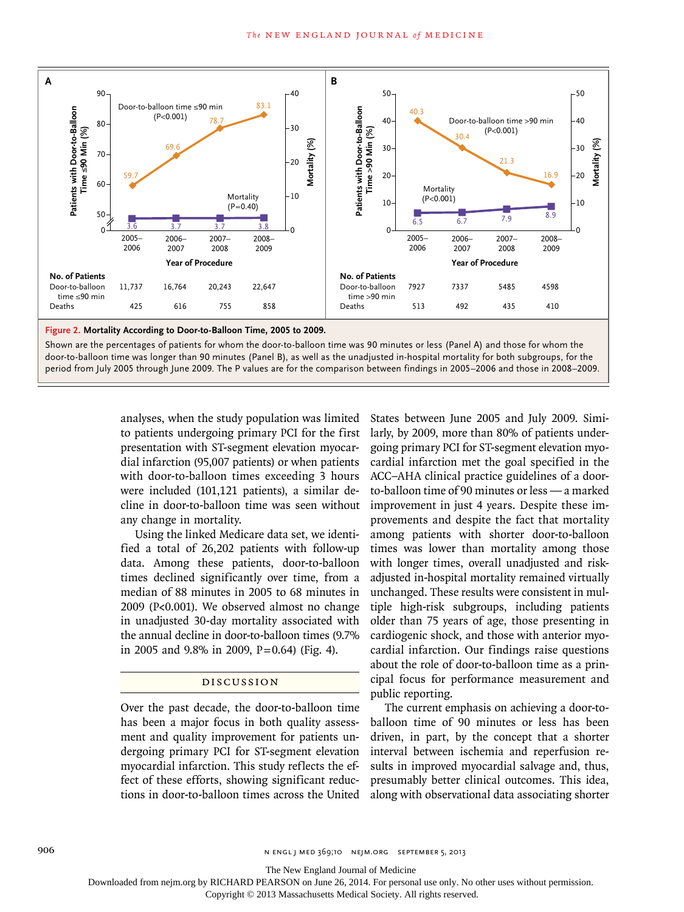

door-to-balloon time was longer than 90 minutes (Panel B), as well as the unadjusted in-hospital mortality for both subgroups, for the period from July 2005 through June 2009. The P values are for the comparison between findings in 2005–2006 and those in 2008–2009.

> analyses, when the study population was limited to patients undergoing primary PCI for the first presentation with ST-segment elevation myocardial infarction (95,007 patients) or when patients with door-to-balloon times exceeding 3 hours were included (101,121 patients), a similar decline in door-to-balloon time was seen without any change in mortality.

> Using the linked Medicare data set, we identified a total of 26,202 patients with follow-up data. Among these patients, door-to-balloon times declined significantly over time, from a median of 88 minutes in 2005 to 68 minutes in 2009 (P<0.001). We observed almost no change in unadjusted 30-day mortality associated with the annual decline in door-to-balloon times (9.7% in 2005 and 9.8% in 2009,  $P=0.64$ ) (Fig. 4).

# Discussion

Over the past decade, the door-to-balloon time has been a major focus in both quality assessment and quality improvement for patients undergoing primary PCI for ST-segment elevation myocardial infarction. This study reflects the effect of these efforts, showing significant reductions in door-to-balloon times across the United States between June 2005 and July 2009. Similarly, by 2009, more than 80% of patients undergoing primary PCI for ST-segment elevation myocardial infarction met the goal specified in the ACC–AHA clinical practice guidelines of a doorto-balloon time of 90 minutes or less — a marked improvement in just 4 years. Despite these improvements and despite the fact that mortality among patients with shorter door-to-balloon times was lower than mortality among those with longer times, overall unadjusted and riskadjusted in-hospital mortality remained virtually unchanged. These results were consistent in multiple high-risk subgroups, including patients older than 75 years of age, those presenting in cardiogenic shock, and those with anterior myocardial infarction. Our findings raise questions about the role of door-to-balloon time as a principal focus for performance measurement and public reporting.

The current emphasis on achieving a door-toballoon time of 90 minutes or less has been driven, in part, by the concept that a shorter interval between ischemia and reperfusion results in improved myocardial salvage and, thus, presumably better clinical outcomes. This idea, along with observational data associating shorter

906 n engl j med 369;10 nejm.org september 5, 2013

The New England Journal of Medicine

Downloaded from nejm.org by RICHARD PEARSON on June 26, 2014. For personal use only. No other uses without permission.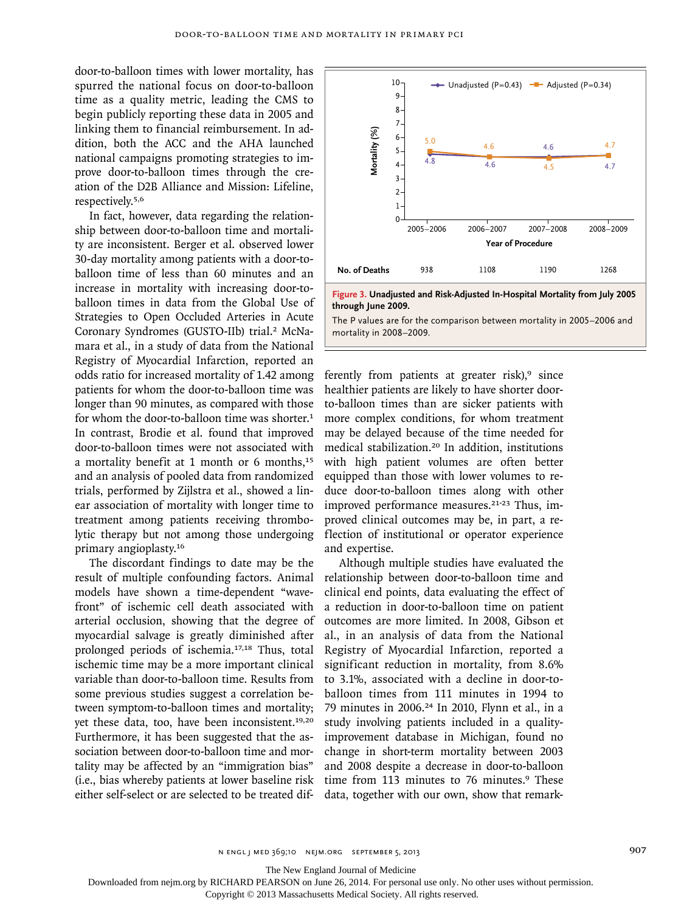door-to-balloon times with lower mortality, has spurred the national focus on door-to-balloon time as a quality metric, leading the CMS to begin publicly reporting these data in 2005 and linking them to financial reimbursement. In addition, both the ACC and the AHA launched national campaigns promoting strategies to improve door-to-balloon times through the creation of the D2B Alliance and Mission: Lifeline, respectively.5,6

In fact, however, data regarding the relationship between door-to-balloon time and mortality are inconsistent. Berger et al. observed lower 30-day mortality among patients with a door-toballoon time of less than 60 minutes and an increase in mortality with increasing door-toballoon times in data from the Global Use of Strategies to Open Occluded Arteries in Acute Coronary Syndromes (GUSTO-IIb) trial.<sup>2</sup> McNamara et al., in a study of data from the National Registry of Myocardial Infarction, reported an odds ratio for increased mortality of 1.42 among patients for whom the door-to-balloon time was longer than 90 minutes, as compared with those for whom the door-to-balloon time was shorter.<sup>1</sup> In contrast, Brodie et al. found that improved door-to-balloon times were not associated with a mortality benefit at 1 month or 6 months,<sup>15</sup> and an analysis of pooled data from randomized trials, performed by Zijlstra et al., showed a linear association of mortality with longer time to treatment among patients receiving thrombolytic therapy but not among those undergoing primary angioplasty.<sup>16</sup>

The discordant findings to date may be the result of multiple confounding factors. Animal models have shown a time-dependent "wavefront" of ischemic cell death associated with arterial occlusion, showing that the degree of myocardial salvage is greatly diminished after prolonged periods of ischemia.17,18 Thus, total ischemic time may be a more important clinical variable than door-to-balloon time. Results from some previous studies suggest a correlation between symptom-to-balloon times and mortality; yet these data, too, have been inconsistent.<sup>19,20</sup> Furthermore, it has been suggested that the association between door-to-balloon time and mortality may be affected by an "immigration bias" (i.e., bias whereby patients at lower baseline risk either self-select or are selected to be treated dif-





The P values are for the comparison between mortality in 2005–2006 and mortality in 2008–2009.

ferently from patients at greater risk), $9$  since healthier patients are likely to have shorter doorto-balloon times than are sicker patients with more complex conditions, for whom treatment may be delayed because of the time needed for medical stabilization.20 In addition, institutions with high patient volumes are often better equipped than those with lower volumes to reduce door-to-balloon times along with other improved performance measures.<sup>21-23</sup> Thus, improved clinical outcomes may be, in part, a reflection of institutional or operator experience and expertise.

Although multiple studies have evaluated the relationship between door-to-balloon time and clinical end points, data evaluating the effect of a reduction in door-to-balloon time on patient outcomes are more limited. In 2008, Gibson et al., in an analysis of data from the National Registry of Myocardial Infarction, reported a significant reduction in mortality, from 8.6% to 3.1%, associated with a decline in door-toballoon times from 111 minutes in 1994 to 79 minutes in 2006.24 In 2010, Flynn et al., in a study involving patients included in a qualityimprovement database in Michigan, found no change in short-term mortality between 2003 and 2008 despite a decrease in door-to-balloon time from 113 minutes to 76 minutes.<sup>9</sup> These data, together with our own, show that remark-

n engl j med 369;10 nejm.org september 5, 2013 907

The New England Journal of Medicine

Downloaded from nejm.org by RICHARD PEARSON on June 26, 2014. For personal use only. No other uses without permission.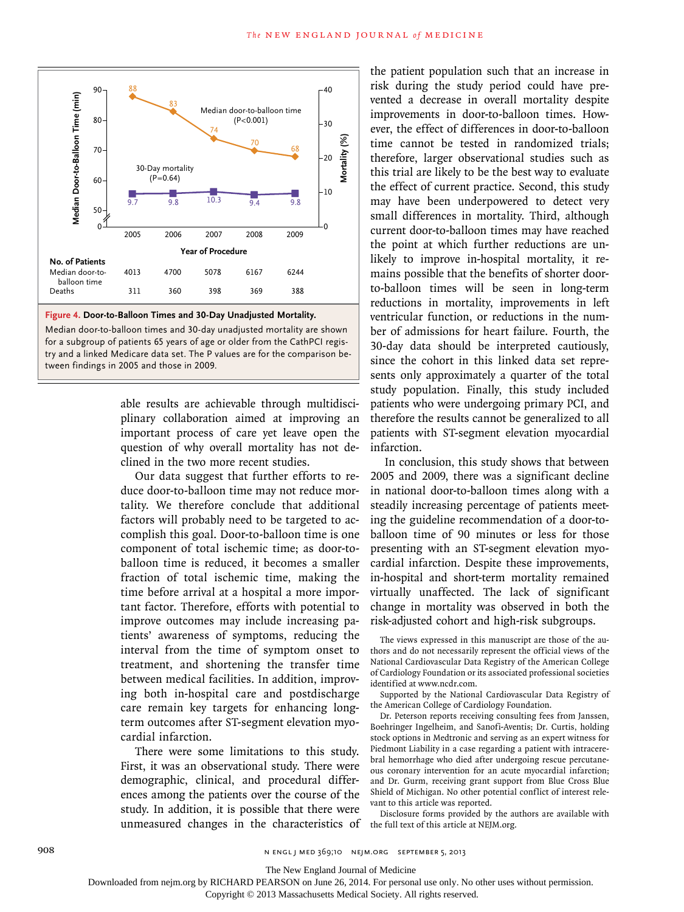



able results are achievable through multidisciplinary collaboration aimed at improving an important process of care yet leave open the question of why overall mortality has not declined in the two more recent studies.

Our data suggest that further efforts to reduce door-to-balloon time may not reduce mortality. We therefore conclude that additional factors will probably need to be targeted to accomplish this goal. Door-to-balloon time is one component of total ischemic time; as door-toballoon time is reduced, it becomes a smaller fraction of total ischemic time, making the time before arrival at a hospital a more important factor. Therefore, efforts with potential to improve outcomes may include increasing patients' awareness of symptoms, reducing the interval from the time of symptom onset to treatment, and shortening the transfer time between medical facilities. In addition, improving both in-hospital care and postdischarge care remain key targets for enhancing longterm outcomes after ST-segment elevation myocardial infarction.

There were some limitations to this study. First, it was an observational study. There were demographic, clinical, and procedural differences among the patients over the course of the study. In addition, it is possible that there were unmeasured changes in the characteristics of the patient population such that an increase in risk during the study period could have prevented a decrease in overall mortality despite improvements in door-to-balloon times. However, the effect of differences in door-to-balloon time cannot be tested in randomized trials; therefore, larger observational studies such as this trial are likely to be the best way to evaluate the effect of current practice. Second, this study may have been underpowered to detect very small differences in mortality. Third, although current door-to-balloon times may have reached the point at which further reductions are unlikely to improve in-hospital mortality, it remains possible that the benefits of shorter doorto-balloon times will be seen in long-term reductions in mortality, improvements in left ventricular function, or reductions in the number of admissions for heart failure. Fourth, the 30-day data should be interpreted cautiously, since the cohort in this linked data set represents only approximately a quarter of the total study population. Finally, this study included patients who were undergoing primary PCI, and therefore the results cannot be generalized to all patients with ST-segment elevation myocardial infarction.

In conclusion, this study shows that between 2005 and 2009, there was a significant decline in national door-to-balloon times along with a steadily increasing percentage of patients meeting the guideline recommendation of a door-toballoon time of 90 minutes or less for those presenting with an ST-segment elevation myocardial infarction. Despite these improvements, in-hospital and short-term mortality remained virtually unaffected. The lack of significant change in mortality was observed in both the risk-adjusted cohort and high-risk subgroups.

The views expressed in this manuscript are those of the authors and do not necessarily represent the official views of the National Cardiovascular Data Registry of the American College of Cardiology Foundation or its associated professional societies identified at www.ncdr.com.

Supported by the National Cardiovascular Data Registry of the American College of Cardiology Foundation.

Dr. Peterson reports receiving consulting fees from Janssen, Boehringer Ingelheim, and Sanofi-Aventis; Dr. Curtis, holding stock options in Medtronic and serving as an expert witness for Piedmont Liability in a case regarding a patient with intracerebral hemorrhage who died after undergoing rescue percutaneous coronary intervention for an acute myocardial infarction; and Dr. Gurm, receiving grant support from Blue Cross Blue Shield of Michigan. No other potential conflict of interest relevant to this article was reported.

Disclosure forms provided by the authors are available with the full text of this article at NEJM.org.

908 n engl j med 369;10 nejm.org september 5, 2013

The New England Journal of Medicine

Downloaded from nejm.org by RICHARD PEARSON on June 26, 2014. For personal use only. No other uses without permission.